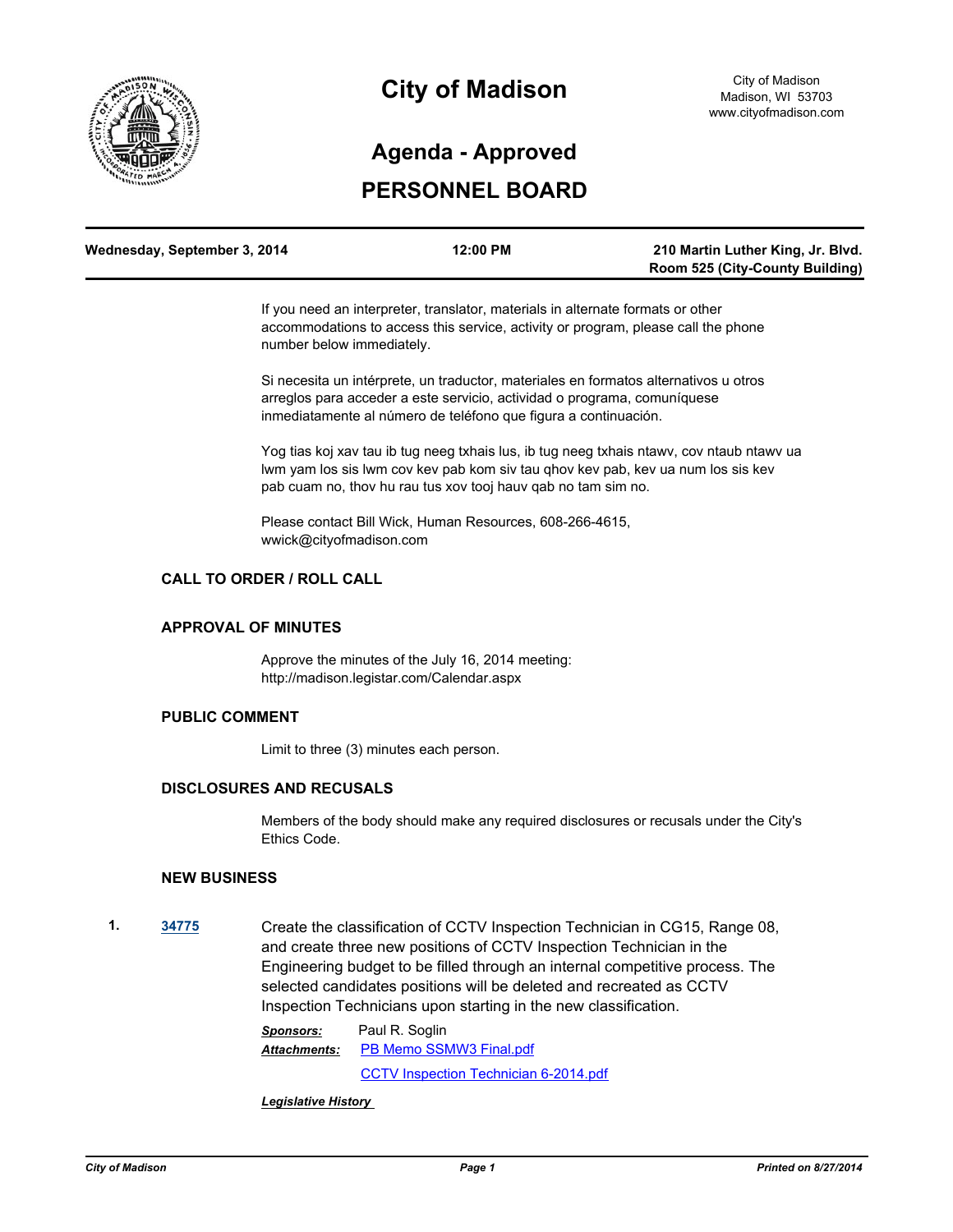

## **City of Madison**

# **PERSONNEL BOARD Agenda - Approved**

| Wednesday, September 3, 2014 | 12:00 PM | 210 Martin Luther King, Jr. Blvd.      |
|------------------------------|----------|----------------------------------------|
|                              |          | <b>Room 525 (City-County Building)</b> |

If you need an interpreter, translator, materials in alternate formats or other accommodations to access this service, activity or program, please call the phone number below immediately.

Si necesita un intérprete, un traductor, materiales en formatos alternativos u otros arreglos para acceder a este servicio, actividad o programa, comuníquese inmediatamente al número de teléfono que figura a continuación.

Yog tias koj xav tau ib tug neeg txhais lus, ib tug neeg txhais ntawv, cov ntaub ntawv ua lwm yam los sis lwm cov kev pab kom siv tau qhov kev pab, kev ua num los sis kev pab cuam no, thov hu rau tus xov tooj hauv qab no tam sim no.

Please contact Bill Wick, Human Resources, 608-266-4615, wwick@cityofmadison.com

## **CALL TO ORDER / ROLL CALL**

#### **APPROVAL OF MINUTES**

Approve the minutes of the July 16, 2014 meeting: http://madison.legistar.com/Calendar.aspx

#### **PUBLIC COMMENT**

Limit to three (3) minutes each person.

#### **DISCLOSURES AND RECUSALS**

Members of the body should make any required disclosures or recusals under the City's Ethics Code.

#### **NEW BUSINESS**

**1. [34775](http://madison.legistar.com/gateway.aspx?m=l&id=/matter.aspx?key=37874)** Create the classification of CCTV Inspection Technician in CG15, Range 08, and create three new positions of CCTV Inspection Technician in the Engineering budget to be filled through an internal competitive process. The selected candidates positions will be deleted and recreated as CCTV Inspection Technicians upon starting in the new classification.

> *Sponsors:* Paul R. Soglin [PB Memo SSMW3 Final.pdf](http://madison.legistar.com/gateway.aspx?M=F&ID=075d08c1-3cba-4fd8-9cdf-f9b2efdc28ab.pdf) [CCTV Inspection Technician 6-2014.pdf](http://madison.legistar.com/gateway.aspx?M=F&ID=2150eb08-8ce3-4653-ba8c-f85d63d046ae.pdf) *Attachments:*

*Legislative History*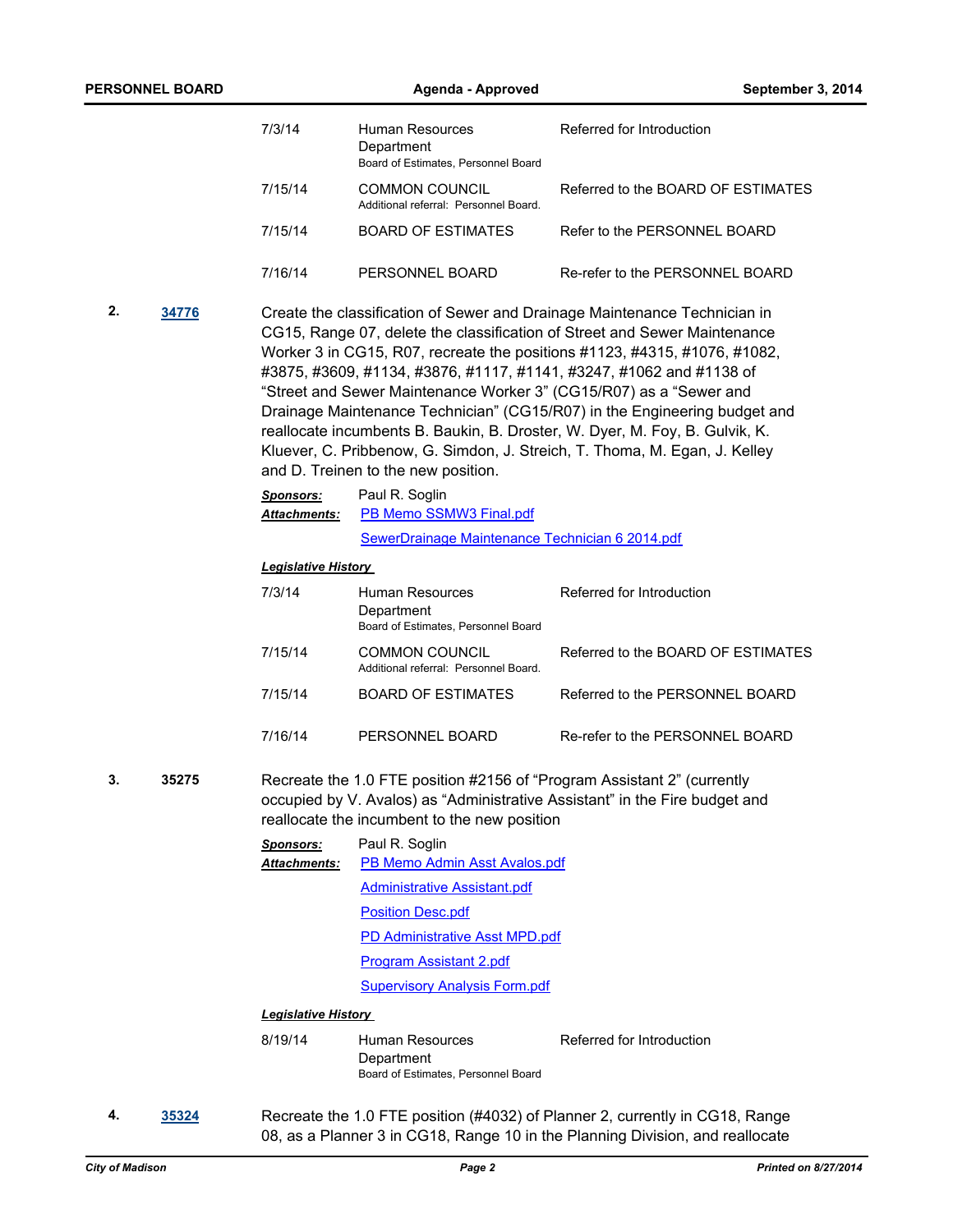|             | <b>PERSONNEL BOARD</b> |                                  | <b>Agenda - Approved</b>                                               | September 3, 2014                                                                                                                                                                                                                                                                                                                                                                                                                                                                                                                                                                                                          |  |  |
|-------------|------------------------|----------------------------------|------------------------------------------------------------------------|----------------------------------------------------------------------------------------------------------------------------------------------------------------------------------------------------------------------------------------------------------------------------------------------------------------------------------------------------------------------------------------------------------------------------------------------------------------------------------------------------------------------------------------------------------------------------------------------------------------------------|--|--|
|             |                        | 7/3/14                           | Human Resources<br>Department<br>Board of Estimates, Personnel Board   | Referred for Introduction                                                                                                                                                                                                                                                                                                                                                                                                                                                                                                                                                                                                  |  |  |
|             |                        | 7/15/14                          | <b>COMMON COUNCIL</b><br>Additional referral: Personnel Board.         | Referred to the BOARD OF ESTIMATES                                                                                                                                                                                                                                                                                                                                                                                                                                                                                                                                                                                         |  |  |
|             |                        | 7/15/14                          | <b>BOARD OF ESTIMATES</b>                                              | Refer to the PERSONNEL BOARD                                                                                                                                                                                                                                                                                                                                                                                                                                                                                                                                                                                               |  |  |
|             |                        | 7/16/14                          | PERSONNEL BOARD                                                        | Re-refer to the PERSONNEL BOARD                                                                                                                                                                                                                                                                                                                                                                                                                                                                                                                                                                                            |  |  |
| 2.<br>34776 |                        |                                  | and D. Treinen to the new position.                                    | Create the classification of Sewer and Drainage Maintenance Technician in<br>CG15, Range 07, delete the classification of Street and Sewer Maintenance<br>Worker 3 in CG15, R07, recreate the positions #1123, #4315, #1076, #1082,<br>#3875, #3609, #1134, #3876, #1117, #1141, #3247, #1062 and #1138 of<br>"Street and Sewer Maintenance Worker 3" (CG15/R07) as a "Sewer and<br>Drainage Maintenance Technician" (CG15/R07) in the Engineering budget and<br>reallocate incumbents B. Baukin, B. Droster, W. Dyer, M. Foy, B. Gulvik, K.<br>Kluever, C. Pribbenow, G. Simdon, J. Streich, T. Thoma, M. Egan, J. Kelley |  |  |
|             |                        | <b>Sponsors:</b><br>Attachments: | Paul R. Soglin<br>PB Memo SSMW3 Final.pdf                              |                                                                                                                                                                                                                                                                                                                                                                                                                                                                                                                                                                                                                            |  |  |
|             |                        |                                  | SewerDrainage Maintenance Technician 6 2014.pdf                        |                                                                                                                                                                                                                                                                                                                                                                                                                                                                                                                                                                                                                            |  |  |
|             |                        | <b>Legislative History</b>       |                                                                        |                                                                                                                                                                                                                                                                                                                                                                                                                                                                                                                                                                                                                            |  |  |
|             |                        | 7/3/14                           | Human Resources<br>Department<br>Board of Estimates, Personnel Board   | Referred for Introduction                                                                                                                                                                                                                                                                                                                                                                                                                                                                                                                                                                                                  |  |  |
|             |                        | 7/15/14                          | <b>COMMON COUNCIL</b><br>Additional referral: Personnel Board.         | Referred to the BOARD OF ESTIMATES                                                                                                                                                                                                                                                                                                                                                                                                                                                                                                                                                                                         |  |  |
|             |                        | 7/15/14                          | <b>BOARD OF ESTIMATES</b>                                              | Referred to the PERSONNEL BOARD                                                                                                                                                                                                                                                                                                                                                                                                                                                                                                                                                                                            |  |  |
|             |                        | 7/16/14                          | PERSONNEL BOARD                                                        | Re-refer to the PERSONNEL BOARD                                                                                                                                                                                                                                                                                                                                                                                                                                                                                                                                                                                            |  |  |
| 35275       |                        |                                  | reallocate the incumbent to the new position                           | Recreate the 1.0 FTE position #2156 of "Program Assistant 2" (currently<br>occupied by V. Avalos) as "Administrative Assistant" in the Fire budget and                                                                                                                                                                                                                                                                                                                                                                                                                                                                     |  |  |
|             |                        | <b>Sponsors:</b>                 | Paul R. Soglin                                                         |                                                                                                                                                                                                                                                                                                                                                                                                                                                                                                                                                                                                                            |  |  |
|             |                        | <b>Attachments:</b>              | PB Memo Admin Asst Avalos.pdf                                          |                                                                                                                                                                                                                                                                                                                                                                                                                                                                                                                                                                                                                            |  |  |
|             |                        |                                  | <b>Administrative Assistant.pdf</b>                                    |                                                                                                                                                                                                                                                                                                                                                                                                                                                                                                                                                                                                                            |  |  |
|             |                        |                                  | <b>Position Desc.pdf</b>                                               |                                                                                                                                                                                                                                                                                                                                                                                                                                                                                                                                                                                                                            |  |  |
|             |                        |                                  | PD Administrative Asst MPD.pdf                                         |                                                                                                                                                                                                                                                                                                                                                                                                                                                                                                                                                                                                                            |  |  |
|             |                        |                                  | <b>Program Assistant 2.pdf</b><br><b>Supervisory Analysis Form.pdf</b> |                                                                                                                                                                                                                                                                                                                                                                                                                                                                                                                                                                                                                            |  |  |
|             |                        |                                  |                                                                        |                                                                                                                                                                                                                                                                                                                                                                                                                                                                                                                                                                                                                            |  |  |
|             |                        | <b>Legislative History</b>       |                                                                        |                                                                                                                                                                                                                                                                                                                                                                                                                                                                                                                                                                                                                            |  |  |
|             |                        | 8/19/14                          | Human Resources<br>Department<br>Board of Estimates, Personnel Board   | Referred for Introduction                                                                                                                                                                                                                                                                                                                                                                                                                                                                                                                                                                                                  |  |  |
|             |                        |                                  |                                                                        |                                                                                                                                                                                                                                                                                                                                                                                                                                                                                                                                                                                                                            |  |  |

**4. [35324](http://madison.legistar.com/gateway.aspx?m=l&id=/matter.aspx?key=38404)** Recreate the 1.0 FTE position (#4032) of Planner 2, currently in CG18, Range 08, as a Planner 3 in CG18, Range 10 in the Planning Division, and reallocate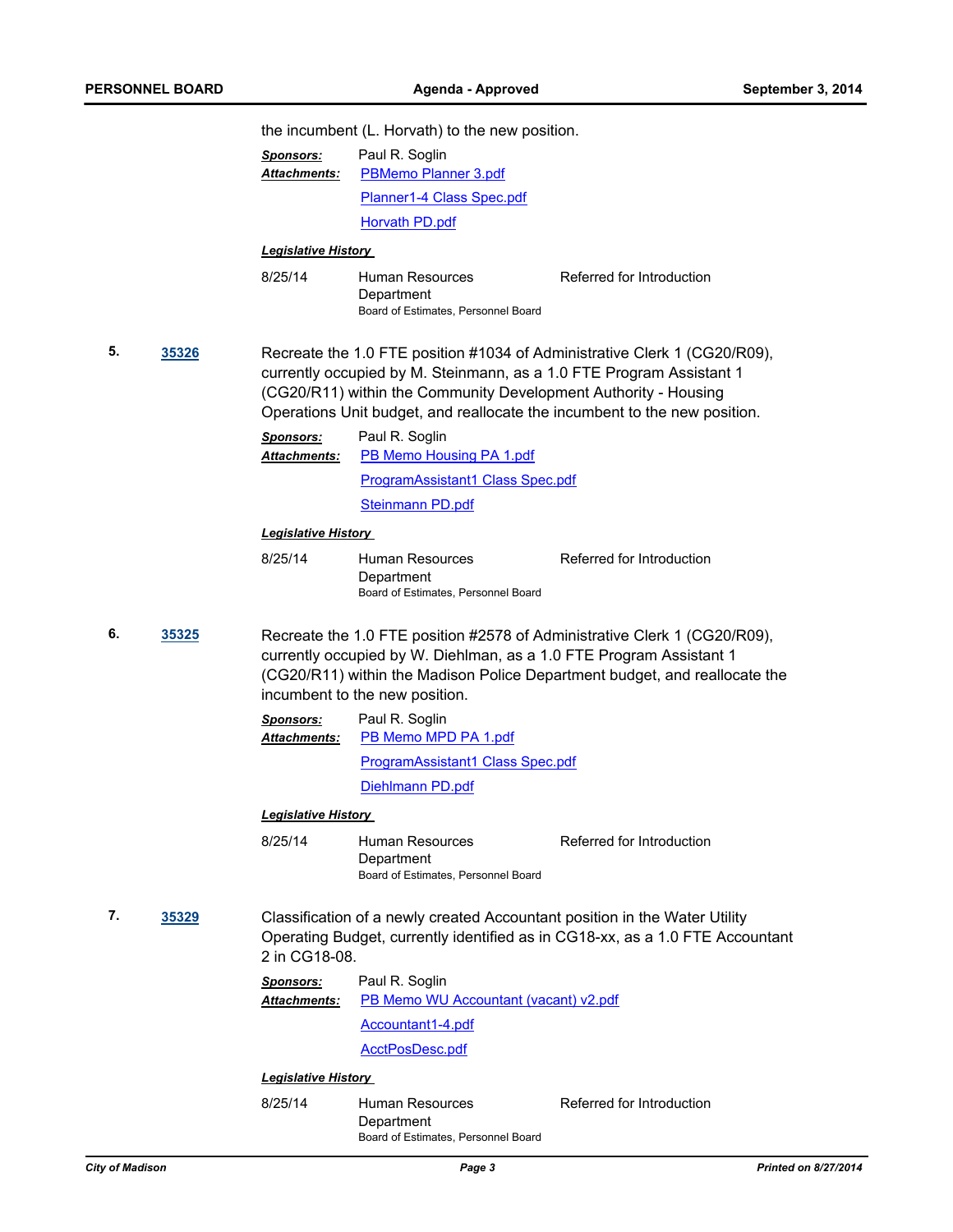|             |  | the incumbent (L. Horvath) to the new position.                                                                                                                                                                                                                                                   |                                                                      |                           |  |
|-------------|--|---------------------------------------------------------------------------------------------------------------------------------------------------------------------------------------------------------------------------------------------------------------------------------------------------|----------------------------------------------------------------------|---------------------------|--|
|             |  | <b>Sponsors:</b>                                                                                                                                                                                                                                                                                  | Paul R. Soglin                                                       |                           |  |
|             |  | Attachments:                                                                                                                                                                                                                                                                                      | <b>PBMemo Planner 3.pdf</b>                                          |                           |  |
|             |  |                                                                                                                                                                                                                                                                                                   | Planner1-4 Class Spec.pdf                                            |                           |  |
|             |  |                                                                                                                                                                                                                                                                                                   | <b>Horvath PD.pdf</b>                                                |                           |  |
|             |  | <b>Legislative History</b>                                                                                                                                                                                                                                                                        |                                                                      |                           |  |
|             |  | 8/25/14                                                                                                                                                                                                                                                                                           | Human Resources<br>Department<br>Board of Estimates, Personnel Board | Referred for Introduction |  |
| 5.<br>35326 |  | Recreate the 1.0 FTE position #1034 of Administrative Clerk 1 (CG20/R09),<br>currently occupied by M. Steinmann, as a 1.0 FTE Program Assistant 1<br>(CG20/R11) within the Community Development Authority - Housing<br>Operations Unit budget, and reallocate the incumbent to the new position. |                                                                      |                           |  |
|             |  | <b>Sponsors:</b><br><b>Attachments:</b>                                                                                                                                                                                                                                                           | Paul R. Soglin<br>PB Memo Housing PA 1.pdf                           |                           |  |
|             |  |                                                                                                                                                                                                                                                                                                   | ProgramAssistant1 Class Spec.pdf                                     |                           |  |
|             |  |                                                                                                                                                                                                                                                                                                   | <b>Steinmann PD.pdf</b>                                              |                           |  |
|             |  | <b>Legislative History</b>                                                                                                                                                                                                                                                                        |                                                                      |                           |  |
|             |  | 8/25/14                                                                                                                                                                                                                                                                                           | Human Resources<br>Department<br>Board of Estimates, Personnel Board | Referred for Introduction |  |
| 6.<br>35325 |  | Recreate the 1.0 FTE position #2578 of Administrative Clerk 1 (CG20/R09),<br>currently occupied by W. Diehlman, as a 1.0 FTE Program Assistant 1<br>(CG20/R11) within the Madison Police Department budget, and reallocate the<br>incumbent to the new position.                                  |                                                                      |                           |  |
|             |  | <b>Sponsors:</b><br><b>Attachments:</b>                                                                                                                                                                                                                                                           | Paul R. Soglin<br>PB Memo MPD PA 1.pdf                               |                           |  |
|             |  |                                                                                                                                                                                                                                                                                                   | <b>ProgramAssistant1 Class Spec.pdf</b>                              |                           |  |
|             |  |                                                                                                                                                                                                                                                                                                   | Diehlmann PD.pdf                                                     |                           |  |
|             |  | <b>Legislative History</b>                                                                                                                                                                                                                                                                        |                                                                      |                           |  |
|             |  | 8/25/14                                                                                                                                                                                                                                                                                           | Human Resources<br>Department<br>Board of Estimates, Personnel Board | Referred for Introduction |  |
| 7.<br>35329 |  | Classification of a newly created Accountant position in the Water Utility<br>Operating Budget, currently identified as in CG18-xx, as a 1.0 FTE Accountant<br>2 in CG18-08.                                                                                                                      |                                                                      |                           |  |
|             |  | <u>Sponsors:</u><br><b>Attachments:</b>                                                                                                                                                                                                                                                           | Paul R. Soglin<br>PB Memo WU Accountant (vacant) v2.pdf              |                           |  |
|             |  |                                                                                                                                                                                                                                                                                                   | Accountant1-4.pdf                                                    |                           |  |
|             |  |                                                                                                                                                                                                                                                                                                   | <b>AcctPosDesc.pdf</b>                                               |                           |  |
|             |  | <b>Legislative History</b>                                                                                                                                                                                                                                                                        |                                                                      |                           |  |
|             |  | 8/25/14                                                                                                                                                                                                                                                                                           | Human Resources<br>Department<br>Board of Estimates, Personnel Board | Referred for Introduction |  |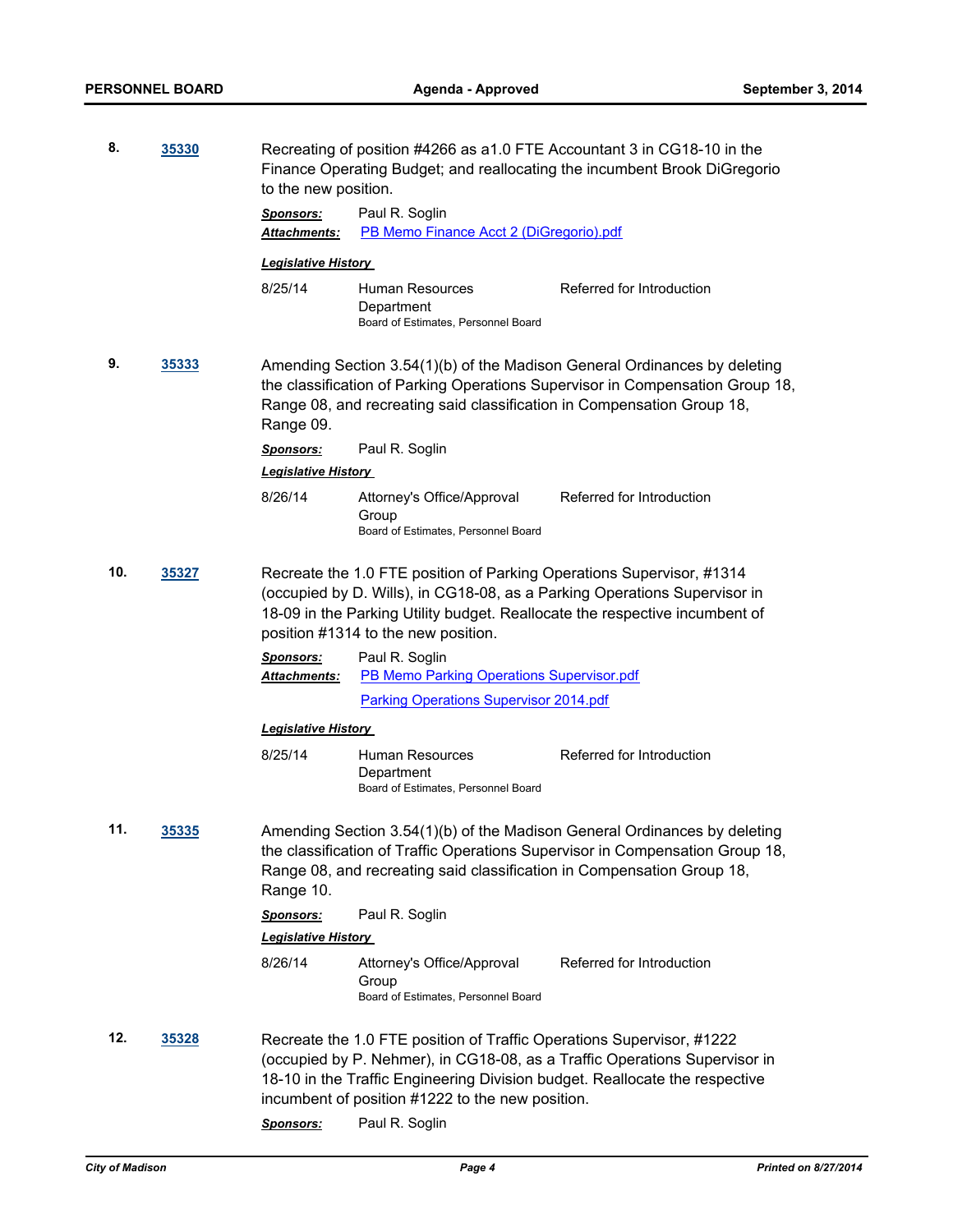| 8.           | 35330 | Recreating of position #4266 as a1.0 FTE Accountant 3 in CG18-10 in the<br>Finance Operating Budget; and reallocating the incumbent Brook DiGregorio<br>to the new position.                                                                                             |                                                                                                                           |                                                                                                                                                           |  |
|--------------|-------|--------------------------------------------------------------------------------------------------------------------------------------------------------------------------------------------------------------------------------------------------------------------------|---------------------------------------------------------------------------------------------------------------------------|-----------------------------------------------------------------------------------------------------------------------------------------------------------|--|
|              |       | <b>Sponsors:</b><br>Attachments:                                                                                                                                                                                                                                         | Paul R. Soglin<br>PB Memo Finance Acct 2 (DiGregorio).pdf                                                                 |                                                                                                                                                           |  |
|              |       | <b>Legislative History</b>                                                                                                                                                                                                                                               |                                                                                                                           |                                                                                                                                                           |  |
|              |       | 8/25/14                                                                                                                                                                                                                                                                  | Human Resources<br>Department<br>Board of Estimates, Personnel Board                                                      | Referred for Introduction                                                                                                                                 |  |
| 9.           | 35333 | Amending Section 3.54(1)(b) of the Madison General Ordinances by deleting<br>the classification of Parking Operations Supervisor in Compensation Group 18,<br>Range 08, and recreating said classification in Compensation Group 18,<br>Range 09.                        |                                                                                                                           |                                                                                                                                                           |  |
|              |       | Paul R. Soglin<br><b>Sponsors:</b><br><b>Legislative History</b>                                                                                                                                                                                                         |                                                                                                                           |                                                                                                                                                           |  |
|              |       | 8/26/14                                                                                                                                                                                                                                                                  | Attorney's Office/Approval<br>Group<br>Board of Estimates, Personnel Board                                                | Referred for Introduction                                                                                                                                 |  |
| 10.<br>35327 |       | Recreate the 1.0 FTE position of Parking Operations Supervisor, #1314<br>(occupied by D. Wills), in CG18-08, as a Parking Operations Supervisor in<br>18-09 in the Parking Utility budget. Reallocate the respective incumbent of<br>position #1314 to the new position. |                                                                                                                           |                                                                                                                                                           |  |
|              |       | <b>Sponsors:</b><br>Attachments:                                                                                                                                                                                                                                         | Paul R. Soglin<br>PB Memo Parking Operations Supervisor.pdf                                                               |                                                                                                                                                           |  |
|              |       |                                                                                                                                                                                                                                                                          | <b>Parking Operations Supervisor 2014.pdf</b>                                                                             |                                                                                                                                                           |  |
|              |       | <b>Legislative History</b>                                                                                                                                                                                                                                               |                                                                                                                           |                                                                                                                                                           |  |
|              |       | 8/25/14                                                                                                                                                                                                                                                                  | Human Resources<br>Department<br>Board of Estimates, Personnel Board                                                      | Referred for Introduction                                                                                                                                 |  |
| 11.          | 35335 | Amending Section 3.54(1)(b) of the Madison General Ordinances by deleting<br>the classification of Traffic Operations Supervisor in Compensation Group 18,<br>Range 08, and recreating said classification in Compensation Group 18,<br>Range 10.                        |                                                                                                                           |                                                                                                                                                           |  |
|              |       | Sponsors:                                                                                                                                                                                                                                                                | Paul R. Soglin                                                                                                            |                                                                                                                                                           |  |
|              |       | <b>Legislative History</b>                                                                                                                                                                                                                                               |                                                                                                                           |                                                                                                                                                           |  |
|              |       | 8/26/14                                                                                                                                                                                                                                                                  | Attorney's Office/Approval<br>Group<br>Board of Estimates, Personnel Board                                                | Referred for Introduction                                                                                                                                 |  |
| 12.          | 35328 |                                                                                                                                                                                                                                                                          | Recreate the 1.0 FTE position of Traffic Operations Supervisor, #1222<br>incumbent of position #1222 to the new position. | (occupied by P. Nehmer), in CG18-08, as a Traffic Operations Supervisor in<br>18-10 in the Traffic Engineering Division budget. Reallocate the respective |  |
|              |       | Sponsors:                                                                                                                                                                                                                                                                | Paul R. Soglin                                                                                                            |                                                                                                                                                           |  |